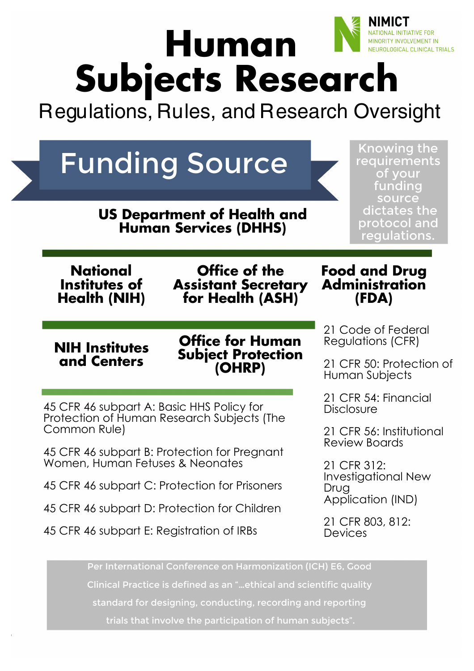# **IL INITIATIVE FOR Human** TY INVOLVEMENT IN **ILOGICAL CLINICAL TRIALS Subjects Research**

Regulations, Rules, and Research Oversight

| <b>Knowing the</b><br><b>Funding Source</b><br>requirements<br>of your<br>funding<br>source<br>dictates the<br><b>US Department of Health and<br/>Human Services (DHHS)</b><br>protocol and<br>regulations. |                                                                 |                                                  |
|-------------------------------------------------------------------------------------------------------------------------------------------------------------------------------------------------------------|-----------------------------------------------------------------|--------------------------------------------------|
| <b>National</b><br>Institutes of<br><b>Health (NIH)</b>                                                                                                                                                     | Office of the<br><b>Assistant Secretary</b><br>for Health (ASH) | <b>Food and Drug<br/>Administration</b><br>(FDA) |
| <b>NIH Institutes</b><br>and Centers                                                                                                                                                                        | <b>Office for Human</b><br><b>Subject Protection</b><br>(OHRP)  | 21 Code of Federal<br>Regulations (CFR)          |
|                                                                                                                                                                                                             |                                                                 | 21 CFR 50: Protection of<br>Human Subjects       |
| 45 CFR 46 subpart A: Basic HHS Policy for                                                                                                                                                                   |                                                                 | 21 CFR 54: Financial<br><b>Disclosure</b>        |
| Protection of Human Research Subjects (The<br>Common Rule)                                                                                                                                                  |                                                                 | 21 CFR 56: Institutional                         |
| 45 CFR 46 subpart B: Protection for Pregnant                                                                                                                                                                |                                                                 | Review Boards                                    |
| Women, Human Fetuses & Neonates                                                                                                                                                                             |                                                                 | 21 CFR 312:<br><b>Investigational New</b>        |
| 45 CFR 46 subpart C: Protection for Prisoners                                                                                                                                                               |                                                                 | Drug<br>Application (IND)                        |
| 45 CFR 46 subpart D: Protection for Children                                                                                                                                                                |                                                                 | 21 CFR 803, 812:                                 |
|                                                                                                                                                                                                             | 45 CFR 46 subpart E: Registration of IRBs                       | Devices                                          |

Clinical Practice is defined as an "…ethical and scientific quality standard for designing, conducting, recording and reporting trials that involve the participation of human subjects".

**Who is your**